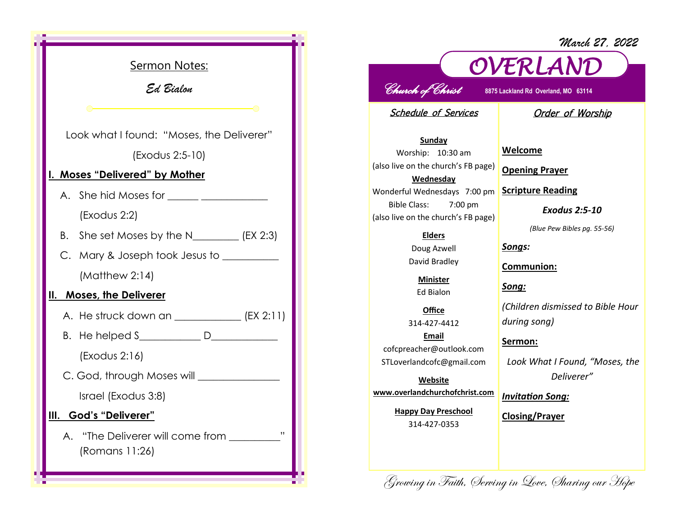Sermon Notes: *Ed Bialon*  Look what I found: "Moses, the Deliverer" (Exodus 2:5-10) **I. Moses "Delivered" by Mother**  A. She hid Moses for (Exodus 2:2) B. She set Moses by the N\_\_\_\_\_\_\_\_ (EX 2:3) C. Mary & Joseph took Jesus to \_\_\_\_\_\_\_\_\_\_ (Matthew 2:14) **II. Moses, the Deliverer** A. He struck down an \_\_\_\_\_\_\_\_\_\_\_\_\_ (EX 2:11) B. He helped S\_\_\_\_\_\_\_\_\_\_\_\_ D\_\_\_\_\_\_\_\_\_\_\_\_\_ (Exodus 2:16) C. God, through Moses will \_\_\_\_\_\_\_\_\_\_\_\_\_\_\_\_ Israel (Exodus 3:8) **III. God's "Deliverer"**  A. "The Deliverer will come from \_\_\_\_\_\_\_\_\_" (Romans 11:26)

## *OVERLAND Church of Christ* **8875 Lackland Rd Overland, MO 63114**

Schedule of Services

Order of Worship

*March 27, 2022*

**Sunday** Worship: 10:30 am (also live on the church's FB page) **Wednesday** Wonderful Wednesdays 7:00 pm Bible Class: 7:00 pm (also live on the church's FB page)

> **Elders** Doug Azwell David Bradley

**Minister** Ed Bialon

**Office** 314-427-4412 **Email** cofcpreacher@outlook.com STLoverlandcofc@gmail.com

**Website www.overlandchurchofchrist.com**

> **Happy Day Preschool** 314-427-0353

**Welcome**

**Opening Prayer**

**Scripture Reading**

*Exodus 2:5-10*

*(Blue Pew Bibles pg. 55-56)*

*Songs:*

**Communion:**

*Song:*

*(Children dismissed to Bible Hour during song)*

**Sermon:** 

*Look What I Found, "Moses, the Deliverer"*

*Invitation Song:*

**Closing/Prayer**

Growing in Faith, Serving in Love, Sharing our Hope